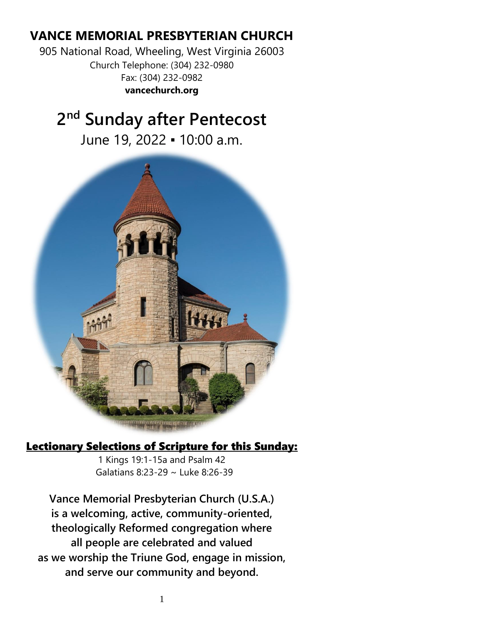# **VANCE MEMORIAL PRESBYTERIAN CHURCH**

905 National Road, Wheeling, West Virginia 26003 Church Telephone: (304) 232-0980 Fax: (304) 232-0982 **vancechurch.org**

# **2 nd Sunday after Pentecost**

June 19, 2022 ▪ 10:00 a.m.



# Lectionary Selections of Scripture for this Sunday:

1 Kings 19:1-15a and Psalm 42 Galatians 8:23-29 ~ Luke 8:26-39

**Vance Memorial Presbyterian Church (U.S.A.) is a welcoming, active, community-oriented, theologically Reformed congregation where all people are celebrated and valued as we worship the Triune God, engage in mission, and serve our community and beyond.**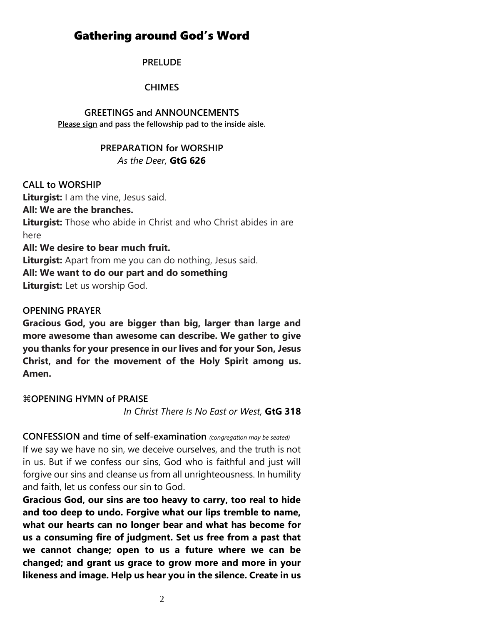# Gathering around God's Word

#### **PRELUDE**

#### **CHIMES**

#### **GREETINGS and ANNOUNCEMENTS**

**Please sign and pass the fellowship pad to the inside aisle.**

#### **PREPARATION for WORSHIP** *As the Deer,* **GtG 626**

#### **CALL to WORSHIP**

**Liturgist:** I am the vine, Jesus said.

**All: We are the branches.**

**Liturgist:** Those who abide in Christ and who Christ abides in are here

#### **All: We desire to bear much fruit.**

**Liturgist:** Apart from me you can do nothing, Jesus said.

## **All: We want to do our part and do something**

**Liturgist:** Let us worship God.

#### **OPENING PRAYER**

**Gracious God, you are bigger than big, larger than large and more awesome than awesome can describe. We gather to give you thanks for your presence in our lives and for your Son, Jesus Christ, and for the movement of the Holy Spirit among us. Amen.**

#### **COPENING HYMN of PRAISE**

*In Christ There Is No East or West,* **GtG 318**

#### **CONFESSION and time of self-examination** *(congregation may be seated)*

If we say we have no sin, we deceive ourselves, and the truth is not in us. But if we confess our sins, God who is faithful and just will forgive our sins and cleanse us from all unrighteousness. In humility and faith, let us confess our sin to God.

**Gracious God, our sins are too heavy to carry, too real to hide and too deep to undo. Forgive what our lips tremble to name, what our hearts can no longer bear and what has become for us a consuming fire of judgment. Set us free from a past that we cannot change; open to us a future where we can be changed; and grant us grace to grow more and more in your likeness and image. Help us hear you in the silence. Create in us**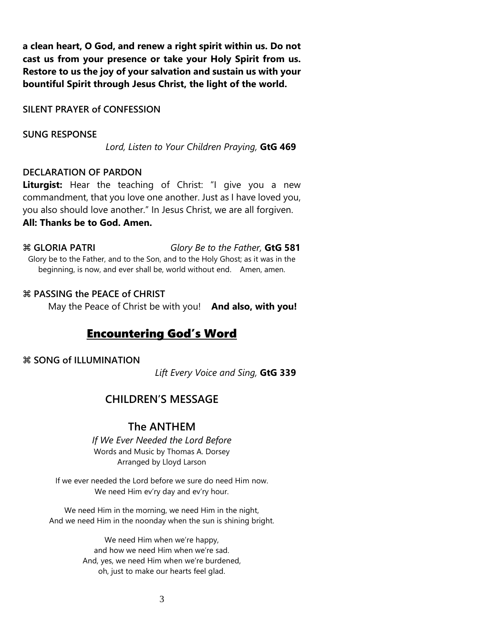**a clean heart, O God, and renew a right spirit within us. Do not cast us from your presence or take your Holy Spirit from us. Restore to us the joy of your salvation and sustain us with your bountiful Spirit through Jesus Christ, the light of the world.** 

**SILENT PRAYER of CONFESSION**

#### **SUNG RESPONSE**

*Lord, Listen to Your Children Praying,* **GtG 469**

#### **DECLARATION OF PARDON**

**Liturgist:** Hear the teaching of Christ: "I give you a new commandment, that you love one another. Just as I have loved you, you also should love another." In Jesus Christ, we are all forgiven. **All: Thanks be to God. Amen.**

 **GLORIA PATRI** *Glory Be to the Father,* **GtG 581** Glory be to the Father, and to the Son, and to the Holy Ghost; as it was in the beginning, is now, and ever shall be, world without end. Amen, amen.

#### **PASSING the PEACE of CHRIST**

May the Peace of Christ be with you! **And also, with you!**

## Encountering God's Word

#### **SONG of ILLUMINATION**

*Lift Every Voice and Sing,* **GtG 339**

## **CHILDREN'S MESSAGE**

### **The ANTHEM**

*If We Ever Needed the Lord Before* Words and Music by Thomas A. Dorsey Arranged by Lloyd Larson

If we ever needed the Lord before we sure do need Him now. We need Him ev'ry day and ev'ry hour.

We need Him in the morning, we need Him in the night, And we need Him in the noonday when the sun is shining bright.

> We need Him when we're happy, and how we need Him when we're sad. And, yes, we need Him when we're burdened, oh, just to make our hearts feel glad.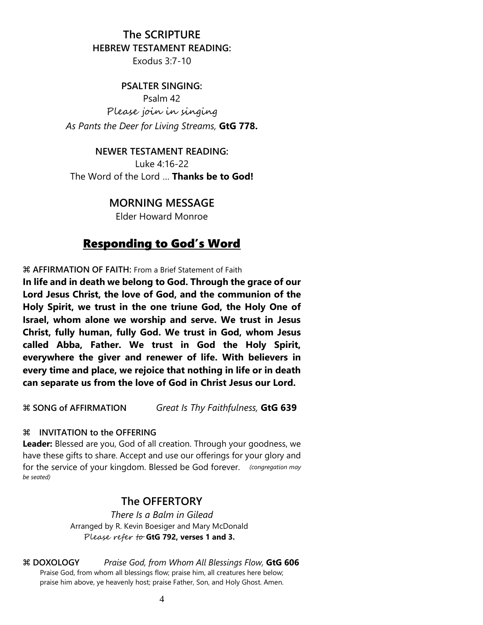#### **The SCRIPTURE**

#### **HEBREW TESTAMENT READING:**

Exodus 3:7-10

#### **PSALTER SINGING:**

Psalm 42 Please join in singing *As Pants the Deer for Living Streams,* **GtG 778.**

#### **NEWER TESTAMENT READING:**

Luke 4:16-22 The Word of the Lord … **Thanks be to God!**

### **MORNING MESSAGE**

Elder Howard Monroe

## Responding to God's Word

**AFFIRMATION OF FAITH:** From a Brief Statement of Faith

**In life and in death we belong to God. Through the grace of our Lord Jesus Christ, the love of God, and the communion of the Holy Spirit, we trust in the one triune God, the Holy One of Israel, whom alone we worship and serve. We trust in Jesus Christ, fully human, fully God. We trust in God, whom Jesus called Abba, Father. We trust in God the Holy Spirit, everywhere the giver and renewer of life. With believers in every time and place, we rejoice that nothing in life or in death can separate us from the love of God in Christ Jesus our Lord.**

**SONG of AFFIRMATION** *Great Is Thy Faithfulness,* **GtG 639**

#### **INVITATION to the OFFERING**

**Leader:** Blessed are you, God of all creation. Through your goodness, we have these gifts to share. Accept and use our offerings for your glory and for the service of your kingdom. Blessed be God forever. *(congregation may be seated)*

#### **The OFFERTORY**

*There Is a Balm in Gilead* Arranged by R. Kevin Boesiger and Mary McDonald Please refer to **GtG 792, verses 1 and 3.**

 **DOXOLOGY** *Praise God, from Whom All Blessings Flow,* **GtG 606** Praise God, from whom all blessings flow; praise him, all creatures here below; praise him above, ye heavenly host; praise Father, Son, and Holy Ghost. Amen.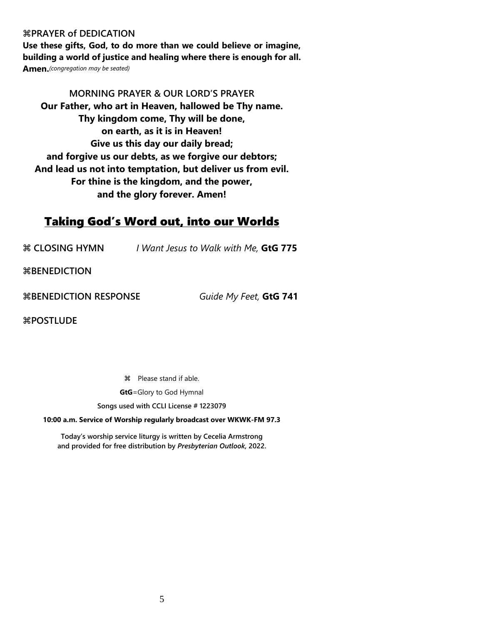#### **PRAYER of DEDICATION**

**Use these gifts, God, to do more than we could believe or imagine, building a world of justice and healing where there is enough for all. Amen.***(congregation may be seated)*

**MORNING PRAYER & OUR LORD'S PRAYER Our Father, who art in Heaven, hallowed be Thy name. Thy kingdom come, Thy will be done, on earth, as it is in Heaven! Give us this day our daily bread; and forgive us our debts, as we forgive our debtors; And lead us not into temptation, but deliver us from evil. For thine is the kingdom, and the power, and the glory forever. Amen!**

## Taking God's Word out, into our Worlds

**CLOSING HYMN** *I Want Jesus to Walk with Me,* **GtG 775**

**BENEDICTION**

**BENEDICTION RESPONSE** *Guide My Feet,* **GtG 741** 

**POSTLUDE** 

 Please stand if able. **GtG**=Glory to God Hymnal **Songs used with CCLI License # 1223079**

**10:00 a.m. Service of Worship regularly broadcast over WKWK-FM 97.3**

**Today's worship service liturgy is written by Cecelia Armstrong and provided for free distribution by** *Presbyterian Outlook,* **2022.**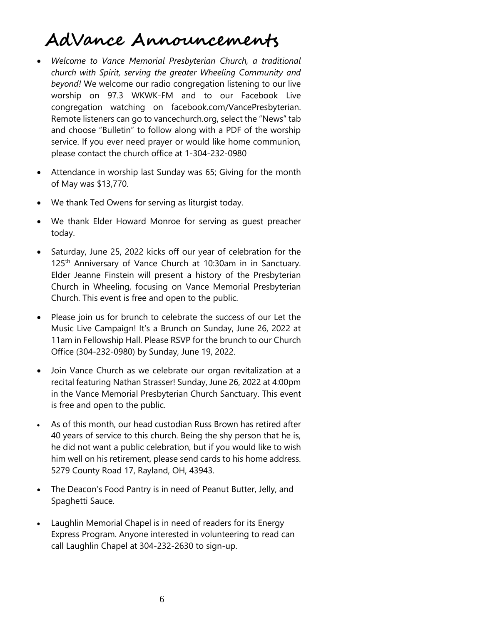# **AdVance Announcements**

- *Welcome to Vance Memorial Presbyterian Church, a traditional church with Spirit, serving the greater Wheeling Community and beyond!* We welcome our radio congregation listening to our live worship on 97.3 WKWK-FM and to our Facebook Live congregation watching on facebook.com/VancePresbyterian. Remote listeners can go to vancechurch.org, select the "News" tab and choose "Bulletin" to follow along with a PDF of the worship service. If you ever need prayer or would like home communion, please contact the church office at 1-304-232-0980
- Attendance in worship last Sunday was 65; Giving for the month of May was \$13,770.
- We thank Ted Owens for serving as liturgist today.
- We thank Elder Howard Monroe for serving as quest preacher today.
- Saturday, June 25, 2022 kicks off our year of celebration for the 125<sup>th</sup> Anniversary of Vance Church at 10:30am in in Sanctuary. Elder Jeanne Finstein will present a history of the Presbyterian Church in Wheeling, focusing on Vance Memorial Presbyterian Church. This event is free and open to the public.
- Please join us for brunch to celebrate the success of our Let the Music Live Campaign! It's a Brunch on Sunday, June 26, 2022 at 11am in Fellowship Hall. Please RSVP for the brunch to our Church Office (304-232-0980) by Sunday, June 19, 2022.
- Join Vance Church as we celebrate our organ revitalization at a recital featuring Nathan Strasser! Sunday, June 26, 2022 at 4:00pm in the Vance Memorial Presbyterian Church Sanctuary. This event is free and open to the public.
- As of this month, our head custodian Russ Brown has retired after 40 years of service to this church. Being the shy person that he is, he did not want a public celebration, but if you would like to wish him well on his retirement, please send cards to his home address. 5279 County Road 17, Rayland, OH, 43943.
- The Deacon's Food Pantry is in need of Peanut Butter, Jelly, and Spaghetti Sauce.
- Laughlin Memorial Chapel is in need of readers for its Energy Express Program. Anyone interested in volunteering to read can call Laughlin Chapel at 304-232-2630 to sign-up.